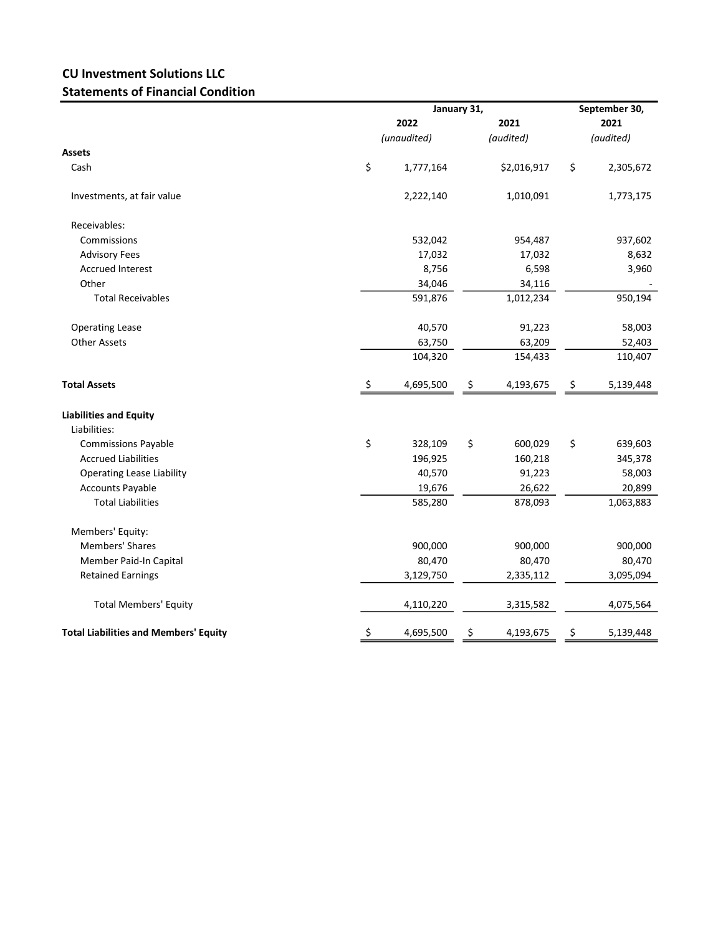## CU Investment Solutions LLC Statements of Financial Condition

|                                              |                     | January 31, | September 30, |                   |    |                   |  |
|----------------------------------------------|---------------------|-------------|---------------|-------------------|----|-------------------|--|
|                                              | 2022<br>(unaudited) |             |               | 2021<br>(audited) |    | 2021<br>(audited) |  |
|                                              |                     |             |               |                   |    |                   |  |
| Assets                                       |                     |             |               |                   |    |                   |  |
| Cash                                         | \$                  | 1,777,164   |               | \$2,016,917       | \$ | 2,305,672         |  |
| Investments, at fair value                   |                     | 2,222,140   |               | 1,010,091         |    | 1,773,175         |  |
| Receivables:                                 |                     |             |               |                   |    |                   |  |
| Commissions                                  |                     | 532,042     |               | 954,487           |    | 937,602           |  |
| <b>Advisory Fees</b>                         |                     | 17,032      |               | 17,032            |    | 8,632             |  |
| <b>Accrued Interest</b>                      |                     | 8,756       |               | 6,598             |    | 3,960             |  |
| Other                                        |                     | 34,046      |               | 34,116            |    |                   |  |
| <b>Total Receivables</b>                     |                     | 591,876     |               | 1,012,234         |    | 950,194           |  |
| <b>Operating Lease</b>                       |                     | 40,570      |               | 91,223            |    | 58,003            |  |
| <b>Other Assets</b>                          |                     | 63,750      |               | 63,209            |    | 52,403            |  |
|                                              |                     | 104,320     |               | 154,433           |    | 110,407           |  |
| <b>Total Assets</b>                          | \$                  | 4,695,500   | \$            | 4,193,675         | \$ | 5,139,448         |  |
| <b>Liabilities and Equity</b>                |                     |             |               |                   |    |                   |  |
| Liabilities:                                 |                     |             |               |                   |    |                   |  |
| <b>Commissions Payable</b>                   | \$                  | 328,109     | \$            | 600,029           | \$ | 639,603           |  |
| <b>Accrued Liabilities</b>                   |                     | 196,925     |               | 160,218           |    | 345,378           |  |
| <b>Operating Lease Liability</b>             |                     | 40,570      |               | 91,223            |    | 58,003            |  |
| <b>Accounts Payable</b>                      |                     | 19,676      |               | 26,622            |    | 20,899            |  |
| <b>Total Liabilities</b>                     |                     | 585,280     |               | 878,093           |    | 1,063,883         |  |
| Members' Equity:                             |                     |             |               |                   |    |                   |  |
| <b>Members' Shares</b>                       |                     | 900,000     |               | 900,000           |    | 900,000           |  |
| Member Paid-In Capital                       |                     | 80,470      |               | 80,470            |    | 80,470            |  |
| <b>Retained Earnings</b>                     |                     | 3,129,750   |               | 2,335,112         |    | 3,095,094         |  |
| <b>Total Members' Equity</b>                 |                     | 4,110,220   |               | 3,315,582         |    | 4,075,564         |  |
| <b>Total Liabilities and Members' Equity</b> | \$                  | 4,695,500   | \$            | 4,193,675         | \$ | 5,139,448         |  |